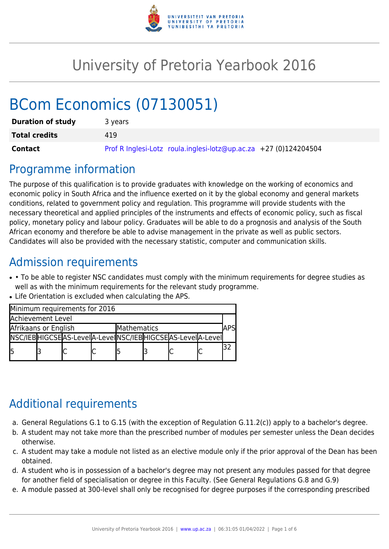

# University of Pretoria Yearbook 2016

# BCom Economics (07130051)

| <b>Duration of study</b> | 3 years                                                          |  |  |  |  |  |
|--------------------------|------------------------------------------------------------------|--|--|--|--|--|
| <b>Total credits</b>     | 419                                                              |  |  |  |  |  |
| <b>Contact</b>           | Prof R Inglesi-Lotz roula.inglesi-lotz@up.ac.za +27 (0)124204504 |  |  |  |  |  |

### Programme information

The purpose of this qualification is to provide graduates with knowledge on the working of economics and economic policy in South Africa and the influence exerted on it by the global economy and general markets conditions, related to government policy and regulation. This programme will provide students with the necessary theoretical and applied principles of the instruments and effects of economic policy, such as fiscal policy, monetary policy and labour policy. Graduates will be able to do a prognosis and analysis of the South African economy and therefore be able to advise management in the private as well as public sectors. Candidates will also be provided with the necessary statistic, computer and communication skills.

## Admission requirements

- • To be able to register NSC candidates must comply with the minimum requirements for degree studies as well as with the minimum requirements for the relevant study programme.
- Life Orientation is excluded when calculating the APS.

| Minimum requirements for 2016       |  |                                                                 |  |  |  |  |  |  |  |
|-------------------------------------|--|-----------------------------------------------------------------|--|--|--|--|--|--|--|
| <b>Achievement Level</b>            |  |                                                                 |  |  |  |  |  |  |  |
| Afrikaans or English<br>Mathematics |  |                                                                 |  |  |  |  |  |  |  |
|                                     |  | NSC/IEB HIGCSE AS-LeveI A-LeveI NSC/IEB HIGCSE AS-LeveI A-LeveI |  |  |  |  |  |  |  |
| l5                                  |  |                                                                 |  |  |  |  |  |  |  |

# Additional requirements

- a. General Regulations G.1 to G.15 (with the exception of Regulation G.11.2(c)) apply to a bachelor's degree.
- b. A student may not take more than the prescribed number of modules per semester unless the Dean decides otherwise.
- c. A student may take a module not listed as an elective module only if the prior approval of the Dean has been obtained.
- d. A student who is in possession of a bachelor's degree may not present any modules passed for that degree for another field of specialisation or degree in this Faculty. (See General Regulations G.8 and G.9)
- e. A module passed at 300-level shall only be recognised for degree purposes if the corresponding prescribed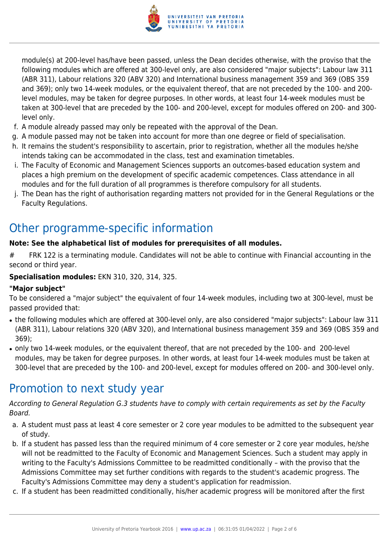

module(s) at 200-level has/have been passed, unless the Dean decides otherwise, with the proviso that the following modules which are offered at 300-level only, are also considered "major subjects": Labour law 311 (ABR 311), Labour relations 320 (ABV 320) and International business management 359 and 369 (OBS 359 and 369); only two 14-week modules, or the equivalent thereof, that are not preceded by the 100- and 200 level modules, may be taken for degree purposes. In other words, at least four 14-week modules must be taken at 300-level that are preceded by the 100- and 200-level, except for modules offered on 200- and 300 level only.

- f. A module already passed may only be repeated with the approval of the Dean.
- g. A module passed may not be taken into account for more than one degree or field of specialisation.
- h. It remains the student's responsibility to ascertain, prior to registration, whether all the modules he/she intends taking can be accommodated in the class, test and examination timetables.
- i. The Faculty of Economic and Management Sciences supports an outcomes-based education system and places a high premium on the development of specific academic competences. Class attendance in all modules and for the full duration of all programmes is therefore compulsory for all students.
- j. The Dean has the right of authorisation regarding matters not provided for in the General Regulations or the Faculty Regulations.

## Other programme-specific information

#### **Note: See the alphabetical list of modules for prerequisites of all modules.**

# FRK 122 is a terminating module. Candidates will not be able to continue with Financial accounting in the second or third year.

#### **Specialisation modules:** EKN 310, 320, 314, 325.

#### **"Major subject"**

To be considered a "major subject" the equivalent of four 14-week modules, including two at 300-level, must be passed provided that:

- the following modules which are offered at 300-level only, are also considered "major subjects": Labour law 311 (ABR 311), Labour relations 320 (ABV 320), and International business management 359 and 369 (OBS 359 and 369);
- only two 14-week modules, or the equivalent thereof, that are not preceded by the 100- and 200-level modules, may be taken for degree purposes. In other words, at least four 14-week modules must be taken at 300-level that are preceded by the 100- and 200-level, except for modules offered on 200- and 300-level only.

### Promotion to next study year

According to General Regulation G.3 students have to comply with certain requirements as set by the Faculty Board.

- a. A student must pass at least 4 core semester or 2 core year modules to be admitted to the subsequent year of study.
- b. If a student has passed less than the required minimum of 4 core semester or 2 core year modules, he/she will not be readmitted to the Faculty of Economic and Management Sciences. Such a student may apply in writing to the Faculty's Admissions Committee to be readmitted conditionally – with the proviso that the Admissions Committee may set further conditions with regards to the student's academic progress. The Faculty's Admissions Committee may deny a student's application for readmission.
- c. If a student has been readmitted conditionally, his/her academic progress will be monitored after the first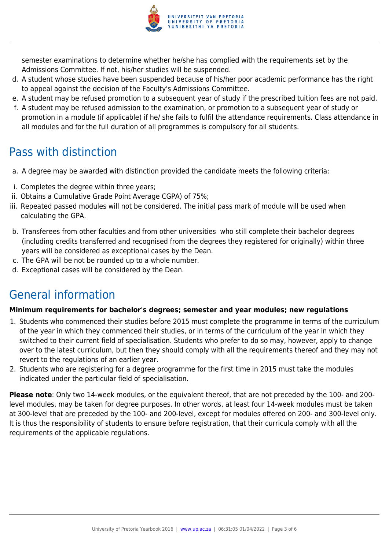

semester examinations to determine whether he/she has complied with the requirements set by the Admissions Committee. If not, his/her studies will be suspended.

- d. A student whose studies have been suspended because of his/her poor academic performance has the right to appeal against the decision of the Faculty's Admissions Committee.
- e. A student may be refused promotion to a subsequent year of study if the prescribed tuition fees are not paid.
- f. A student may be refused admission to the examination, or promotion to a subsequent year of study or promotion in a module (if applicable) if he/ she fails to fulfil the attendance requirements. Class attendance in all modules and for the full duration of all programmes is compulsory for all students.

# Pass with distinction

- a. A degree may be awarded with distinction provided the candidate meets the following criteria:
- i. Completes the degree within three years;
- ii. Obtains a Cumulative Grade Point Average CGPA) of 75%;
- iii. Repeated passed modules will not be considered. The initial pass mark of module will be used when calculating the GPA.
- b. Transferees from other faculties and from other universities who still complete their bachelor degrees (including credits transferred and recognised from the degrees they registered for originally) within three years will be considered as exceptional cases by the Dean.
- c. The GPA will be not be rounded up to a whole number.
- d. Exceptional cases will be considered by the Dean.

# General information

#### **Minimum requirements for bachelor's degrees; semester and year modules; new regulations**

- 1. Students who commenced their studies before 2015 must complete the programme in terms of the curriculum of the year in which they commenced their studies, or in terms of the curriculum of the year in which they switched to their current field of specialisation. Students who prefer to do so may, however, apply to change over to the latest curriculum, but then they should comply with all the requirements thereof and they may not revert to the regulations of an earlier year.
- 2. Students who are registering for a degree programme for the first time in 2015 must take the modules indicated under the particular field of specialisation.

**Please note**: Only two 14-week modules, or the equivalent thereof, that are not preceded by the 100- and 200 level modules, may be taken for degree purposes. In other words, at least four 14-week modules must be taken at 300-level that are preceded by the 100- and 200-level, except for modules offered on 200- and 300-level only. It is thus the responsibility of students to ensure before registration, that their curricula comply with all the requirements of the applicable regulations.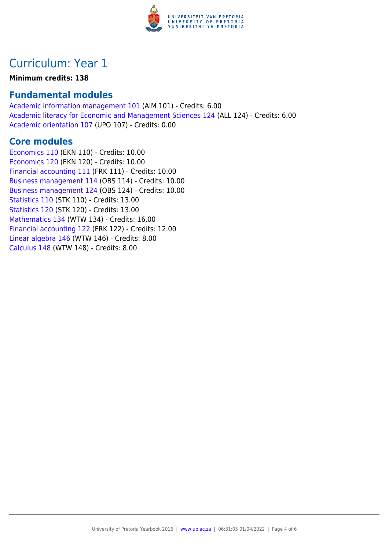

## Curriculum: Year 1

#### **Minimum credits: 138**

### **Fundamental modules**

[Academic information management 101](https://www.up.ac.za/yearbooks/2016/modules/view/AIM 101) (AIM 101) - Credits: 6.00 [Academic literacy for Economic and Management Sciences 124](https://www.up.ac.za/yearbooks/2016/modules/view/ALL 124) (ALL 124) - Credits: 6.00 [Academic orientation 107](https://www.up.ac.za/yearbooks/2016/modules/view/UPO 107) (UPO 107) - Credits: 0.00

### **Core modules**

[Economics 110](https://www.up.ac.za/yearbooks/2016/modules/view/EKN 110) (EKN 110) - Credits: 10.00 [Economics 120](https://www.up.ac.za/yearbooks/2016/modules/view/EKN 120) (EKN 120) - Credits: 10.00 [Financial accounting 111](https://www.up.ac.za/yearbooks/2016/modules/view/FRK 111) (FRK 111) - Credits: 10.00 [Business management 114](https://www.up.ac.za/yearbooks/2016/modules/view/OBS 114) (OBS 114) - Credits: 10.00 [Business management 124](https://www.up.ac.za/yearbooks/2016/modules/view/OBS 124) (OBS 124) - Credits: 10.00 [Statistics 110](https://www.up.ac.za/yearbooks/2016/modules/view/STK 110) (STK 110) - Credits: 13.00 [Statistics 120](https://www.up.ac.za/yearbooks/2016/modules/view/STK 120) (STK 120) - Credits: 13.00 [Mathematics 134](https://www.up.ac.za/yearbooks/2016/modules/view/WTW 134) (WTW 134) - Credits: 16.00 [Financial accounting 122](https://www.up.ac.za/yearbooks/2016/modules/view/FRK 122) (FRK 122) - Credits: 12.00 [Linear algebra 146](https://www.up.ac.za/yearbooks/2016/modules/view/WTW 146) (WTW 146) - Credits: 8.00 [Calculus 148](https://www.up.ac.za/yearbooks/2016/modules/view/WTW 148) (WTW 148) - Credits: 8.00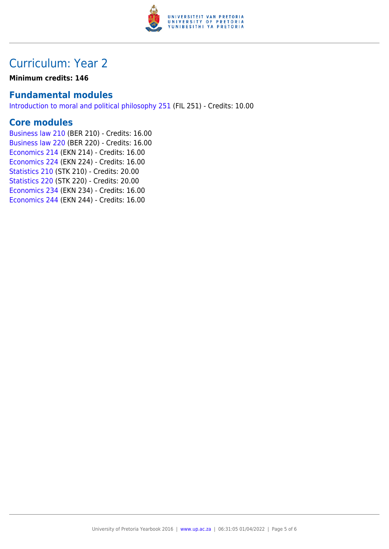

### Curriculum: Year 2

**Minimum credits: 146**

### **Fundamental modules**

[Introduction to moral and political philosophy 251](https://www.up.ac.za/yearbooks/2016/modules/view/FIL 251) (FIL 251) - Credits: 10.00

### **Core modules**

[Business law 210](https://www.up.ac.za/yearbooks/2016/modules/view/BER 210) (BER 210) - Credits: 16.00 [Business law 220](https://www.up.ac.za/yearbooks/2016/modules/view/BER 220) (BER 220) - Credits: 16.00 [Economics 214](https://www.up.ac.za/yearbooks/2016/modules/view/EKN 214) (EKN 214) - Credits: 16.00 [Economics 224](https://www.up.ac.za/yearbooks/2016/modules/view/EKN 224) (EKN 224) - Credits: 16.00 [Statistics 210](https://www.up.ac.za/yearbooks/2016/modules/view/STK 210) (STK 210) - Credits: 20.00 [Statistics 220](https://www.up.ac.za/yearbooks/2016/modules/view/STK 220) (STK 220) - Credits: 20.00 [Economics 234](https://www.up.ac.za/yearbooks/2016/modules/view/EKN 234) (EKN 234) - Credits: 16.00 [Economics 244](https://www.up.ac.za/yearbooks/2016/modules/view/EKN 244) (EKN 244) - Credits: 16.00